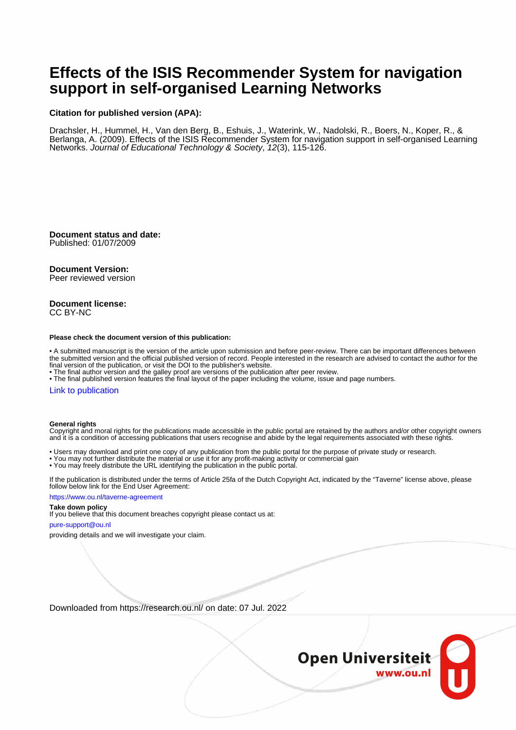# **Effects of the ISIS Recommender System for navigation support in self-organised Learning Networks**

#### **Citation for published version (APA):**

Drachsler, H., Hummel, H., Van den Berg, B., Eshuis, J., Waterink, W., Nadolski, R., Boers, N., Koper, R., & Berlanga, A. (2009). Effects of the ISIS Recommender System for navigation support in self-organised Learning Networks. Journal of Educational Technology & Society, 12(3), 115-126.

**Document status and date:**

Published: 01/07/2009

## **Document Version:**

Peer reviewed version

#### **Document license:** CC BY-NC

#### **Please check the document version of this publication:**

• A submitted manuscript is the version of the article upon submission and before peer-review. There can be important differences between the submitted version and the official published version of record. People interested in the research are advised to contact the author for the final version of the publication, or visit the DOI to the publisher's website.

• The final author version and the galley proof are versions of the publication after peer review.

• The final published version features the final layout of the paper including the volume, issue and page numbers.

#### [Link to publication](https://research.ou.nl/en/publications/95c8ef27-2007-4442-bb91-0f16b2208033)

#### **General rights**

Copyright and moral rights for the publications made accessible in the public portal are retained by the authors and/or other copyright owners and it is a condition of accessing publications that users recognise and abide by the legal requirements associated with these rights.

- Users may download and print one copy of any publication from the public portal for the purpose of private study or research.
- You may not further distribute the material or use it for any profit-making activity or commercial gain
- You may freely distribute the URL identifying the publication in the public portal.

If the publication is distributed under the terms of Article 25fa of the Dutch Copyright Act, indicated by the "Taverne" license above, please follow below link for the End User Agreement:

#### https://www.ou.nl/taverne-agreement

# **Take down policy**

If you believe that this document breaches copyright please contact us at:

#### pure-support@ou.nl

providing details and we will investigate your claim.

Downloaded from https://research.ou.nl/ on date: 07 Jul. 2022

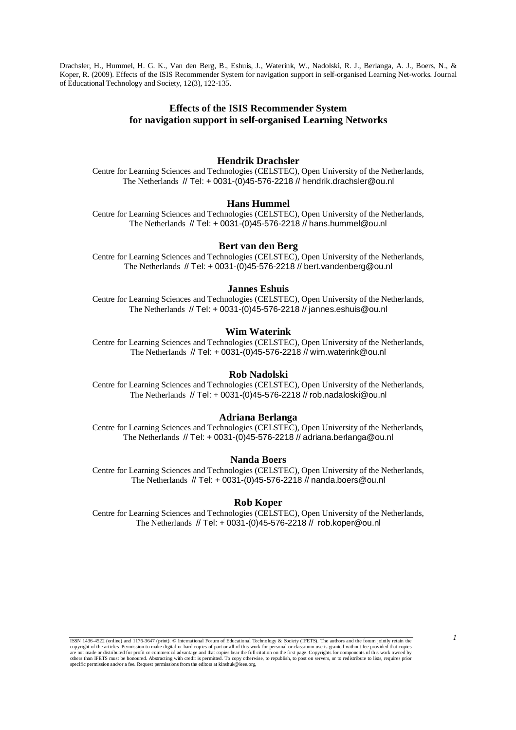Drachsler, H., Hummel, H. G. K., Van den Berg, B., Eshuis, J., Waterink, W., Nadolski, R. J., Berlanga, A. J., Boers, N., & Koper, R. (2009). Effects of the ISIS Recommender System for navigation support in self-organised Learning Net-works. Journal of Educational Technology and Society, 12(3), 122-135.

# **Effects of the ISIS Recommender System for navigation support in self-organised Learning Networks**

### **Hendrik Drachsler**

Centre for Learning Sciences and Technologies (CELSTEC), Open University of the Netherlands, The Netherlands // Tel: + 0031-(0)45-576-2218 // hendrik.drachsler@ou.nl

# **Hans Hummel**

Centre for Learning Sciences and Technologies (CELSTEC), Open University of the Netherlands, The Netherlands // Tel: + 0031-(0)45-576-2218 // hans.hummel@ou.nl

## **Bert van den Berg**

Centre for Learning Sciences and Technologies (CELSTEC), Open University of the Netherlands, The Netherlands // Tel: + 0031-(0)45-576-2218 // bert.vandenberg@ou.nl

#### **Jannes Eshuis**

Centre for Learning Sciences and Technologies (CELSTEC), Open University of the Netherlands, The Netherlands // Tel: + 0031-(0)45-576-2218 // jannes.eshuis@ou.nl

#### **Wim Waterink**

Centre for Learning Sciences and Technologies (CELSTEC), Open University of the Netherlands, The Netherlands // Tel: + 0031-(0)45-576-2218 // wim.waterink@ou.nl

#### **Rob Nadolski**

Centre for Learning Sciences and Technologies (CELSTEC), Open University of the Netherlands, The Netherlands // Tel: + 0031-(0)45-576-2218 // rob.nadaloski@ou.nl

#### **Adriana Berlanga**

Centre for Learning Sciences and Technologies (CELSTEC), Open University of the Netherlands, The Netherlands // Tel: + 0031-(0)45-576-2218 // adriana.berlanga@ou.nl

## **Nanda Boers**

Centre for Learning Sciences and Technologies (CELSTEC), Open University of the Netherlands, The Netherlands // Tel: + 0031-(0)45-576-2218 // nanda.boers@ou.nl

#### **Rob Koper**

Centre for Learning Sciences and Technologies (CELSTEC), Open University of the Netherlands, The Netherlands // Tel: + 0031-(0)45-576-2218 // rob.koper@ou.nl

*1* ISSN 1436-4522 (online) and 1176-3647 (print). © International Forum of Educational Technology & Society (IFETS). The authors and the forum jointly retain the copyright of the articles. Permission to make digital or hard copies of part or all of this work for personal or classroom use is granted without fee provided that copies are not made or distributed for profit or commercial advantage and that copies bear the full citation on the first page. Copyrights for components of this work owned by<br>others than IFETS must be honoured. Abstracting with specific permission and/or a fee. Request permissions from the editors at kinshuk@ieee.org.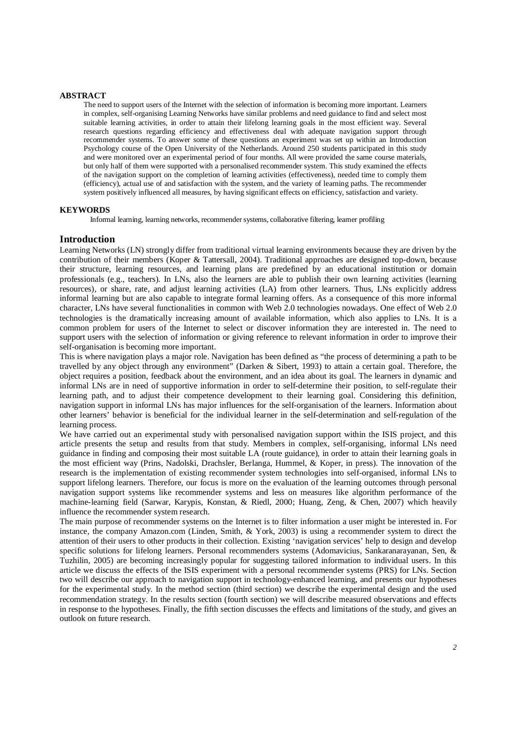#### **ABSTRACT**

The need to support users of the Internet with the selection of information is becoming more important. Learners in complex, self-organising Learning Networks have similar problems and need guidance to find and select most suitable learning activities, in order to attain their lifelong learning goals in the most efficient way. Several research questions regarding efficiency and effectiveness deal with adequate navigation support through recommender systems. To answer some of these questions an experiment was set up within an Introduction Psychology course of the Open University of the Netherlands. Around 250 students participated in this study and were monitored over an experimental period of four months. All were provided the same course materials, but only half of them were supported with a personalised recommender system. This study examined the effects of the navigation support on the completion of learning activities (effectiveness), needed time to comply them (efficiency), actual use of and satisfaction with the system, and the variety of learning paths. The recommender system positively influenced all measures, by having significant effects on efficiency, satisfaction and variety.

#### **KEYWORDS**

Informal learning, learning networks, recommender systems, collaborative filtering, learner profiling

#### **Introduction**

Learning Networks (LN) strongly differ from traditional virtual learning environments because they are driven by the contribution of their members (Koper & Tattersall, 2004). Traditional approaches are designed top-down, because their structure, learning resources, and learning plans are predefined by an educational institution or domain professionals (e.g., teachers). In LNs, also the learners are able to publish their own learning activities (learning resources), or share, rate, and adjust learning activities (LA) from other learners. Thus, LNs explicitly address informal learning but are also capable to integrate formal learning offers. As a consequence of this more informal character, LNs have several functionalities in common with Web 2.0 technologies nowadays. One effect of Web 2.0 technologies is the dramatically increasing amount of available information, which also applies to LNs. It is a common problem for users of the Internet to select or discover information they are interested in. The need to support users with the selection of information or giving reference to relevant information in order to improve their self-organisation is becoming more important.

This is where navigation plays a major role. Navigation has been defined as "the process of determining a path to be travelled by any object through any environment" (Darken & Sibert, 1993) to attain a certain goal. Therefore, the object requires a position, feedback about the environment, and an idea about its goal. The learners in dynamic and informal LNs are in need of supportive information in order to self-determine their position, to self-regulate their learning path, and to adjust their competence development to their learning goal. Considering this definition, navigation support in informal LNs has major influences for the self-organisation of the learners. Information about other learners' behavior is beneficial for the individual learner in the self-determination and self-regulation of the learning process.

We have carried out an experimental study with personalised navigation support within the ISIS project, and this article presents the setup and results from that study. Members in complex, self-organising, informal LNs need guidance in finding and composing their most suitable LA (route guidance), in order to attain their learning goals in the most efficient way (Prins, Nadolski, Drachsler, Berlanga, Hummel, & Koper, in press). The innovation of the research is the implementation of existing recommender system technologies into self-organised, informal LNs to support lifelong learners. Therefore, our focus is more on the evaluation of the learning outcomes through personal navigation support systems like recommender systems and less on measures like algorithm performance of the machine-learning field (Sarwar, Karypis, Konstan, & Riedl, 2000; Huang, Zeng, & Chen, 2007) which heavily influence the recommender system research.

The main purpose of recommender systems on the Internet is to filter information a user might be interested in. For instance, the company Amazon.com (Linden, Smith, & York, 2003) is using a recommender system to direct the attention of their users to other products in their collection. Existing 'navigation services' help to design and develop specific solutions for lifelong learners. Personal recommenders systems (Adomavicius, Sankaranarayanan, Sen, & Tuzhilin, 2005) are becoming increasingly popular for suggesting tailored information to individual users. In this article we discuss the effects of the ISIS experiment with a personal recommender systems (PRS) for LNs. Section two will describe our approach to navigation support in technology-enhanced learning, and presents our hypotheses for the experimental study. In the method section (third section) we describe the experimental design and the used recommendation strategy. In the results section (fourth section) we will describe measured observations and effects in response to the hypotheses. Finally, the fifth section discusses the effects and limitations of the study, and gives an outlook on future research.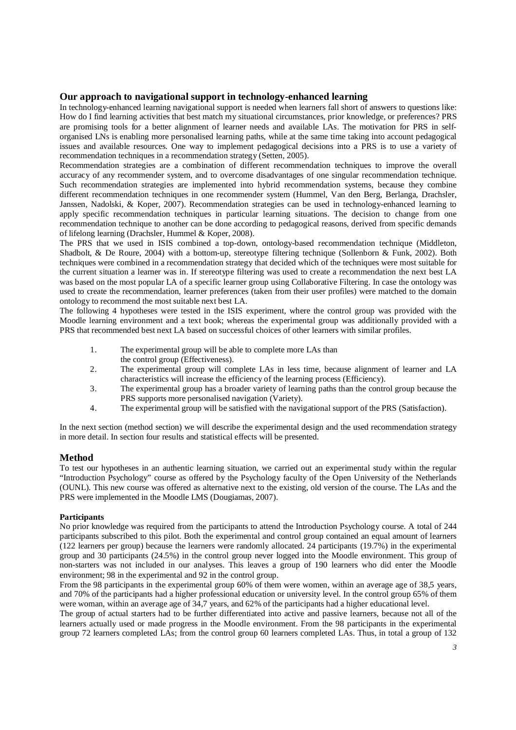# **Our approach to navigational support in technology-enhanced learning**

In technology-enhanced learning navigational support is needed when learners fall short of answers to questions like: How do I find learning activities that best match my situational circumstances, prior knowledge, or preferences? PRS are promising tools for a better alignment of learner needs and available LAs. The motivation for PRS in selforganised LNs is enabling more personalised learning paths, while at the same time taking into account pedagogical issues and available resources. One way to implement pedagogical decisions into a PRS is to use a variety of recommendation techniques in a recommendation strategy (Setten, 2005).

Recommendation strategies are a combination of different recommendation techniques to improve the overall accuracy of any recommender system, and to overcome disadvantages of one singular recommendation technique. Such recommendation strategies are implemented into hybrid recommendation systems, because they combine different recommendation techniques in one recommender system (Hummel, Van den Berg, Berlanga, Drachsler, Janssen, Nadolski, & Koper, 2007). Recommendation strategies can be used in technology-enhanced learning to apply specific recommendation techniques in particular learning situations. The decision to change from one recommendation technique to another can be done according to pedagogical reasons, derived from specific demands of lifelong learning (Drachsler, Hummel & Koper, 2008).

The PRS that we used in ISIS combined a top-down, ontology-based recommendation technique (Middleton, Shadbolt, & De Roure, 2004) with a bottom-up, stereotype filtering technique (Sollenborn & Funk, 2002). Both techniques were combined in a recommendation strategy that decided which of the techniques were most suitable for the current situation a learner was in. If stereotype filtering was used to create a recommendation the next best LA was based on the most popular LA of a specific learner group using Collaborative Filtering. In case the ontology was used to create the recommendation, learner preferences (taken from their user profiles) were matched to the domain ontology to recommend the most suitable next best LA.

The following 4 hypotheses were tested in the ISIS experiment, where the control group was provided with the Moodle learning environment and a text book; whereas the experimental group was additionally provided with a PRS that recommended best next LA based on successful choices of other learners with similar profiles.

- 1. The experimental group will be able to complete more LAs than the control group (Effectiveness).
- 2. The experimental group will complete LAs in less time, because alignment of learner and LA characteristics will increase the efficiency of the learning process (Efficiency).
- 3. The experimental group has a broader variety of learning paths than the control group because the PRS supports more personalised navigation (Variety).
- 4. The experimental group will be satisfied with the navigational support of the PRS (Satisfaction).

In the next section (method section) we will describe the experimental design and the used recommendation strategy in more detail. In section four results and statistical effects will be presented.

## **Method**

To test our hypotheses in an authentic learning situation, we carried out an experimental study within the regular "Introduction Psychology" course as offered by the Psychology faculty of the Open University of the Netherlands (OUNL). This new course was offered as alternative next to the existing, old version of the course. The LAs and the PRS were implemented in the Moodle LMS (Dougiamas, 2007).

## **Participants**

No prior knowledge was required from the participants to attend the Introduction Psychology course. A total of 244 participants subscribed to this pilot. Both the experimental and control group contained an equal amount of learners (122 learners per group) because the learners were randomly allocated. 24 participants (19.7%) in the experimental group and 30 participants (24.5%) in the control group never logged into the Moodle environment. This group of non-starters was not included in our analyses. This leaves a group of 190 learners who did enter the Moodle environment; 98 in the experimental and 92 in the control group.

From the 98 participants in the experimental group 60% of them were women, within an average age of 38,5 years, and 70% of the participants had a higher professional education or university level. In the control group 65% of them were woman, within an average age of 34,7 years, and 62% of the participants had a higher educational level.

The group of actual starters had to be further differentiated into active and passive learners, because not all of the learners actually used or made progress in the Moodle environment. From the 98 participants in the experimental group 72 learners completed LAs; from the control group 60 learners completed LAs. Thus, in total a group of 132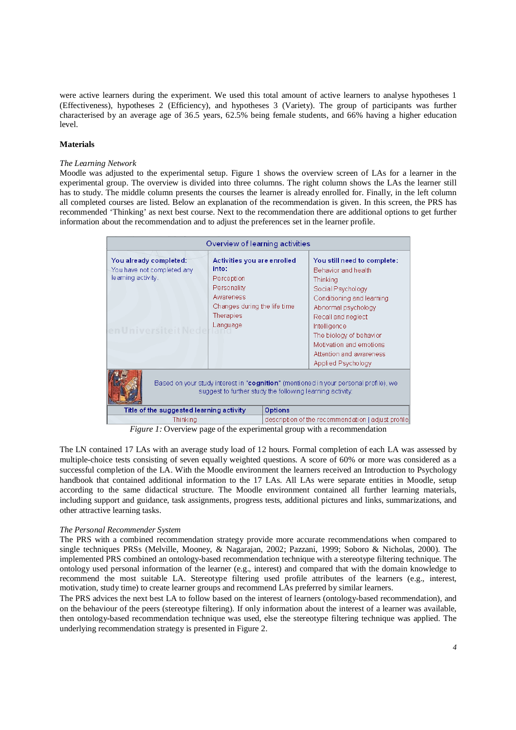were active learners during the experiment. We used this total amount of active learners to analyse hypotheses 1 (Effectiveness), hypotheses 2 (Efficiency), and hypotheses 3 (Variety). The group of participants was further characterised by an average age of 36.5 years, 62.5% being female students, and 66% having a higher education level.

### **Materials**

#### *The Learning Network*

Moodle was adjusted to the experimental setup. Figure 1 shows the overview screen of LAs for a learner in the experimental group. The overview is divided into three columns. The right column shows the LAs the learner still has to study. The middle column presents the courses the learner is already enrolled for. Finally, in the left column all completed courses are listed. Below an explanation of the recommendation is given. In this screen, the PRS has recommended 'Thinking' as next best course. Next to the recommendation there are additional options to get further information about the recommendation and to adjust the preferences set in the learner profile.

| Overview of learning activities                                                                                                                   |                                                                                                                                         |                |                                                                                                                                                                                                                                                                                             |  |  |  |  |
|---------------------------------------------------------------------------------------------------------------------------------------------------|-----------------------------------------------------------------------------------------------------------------------------------------|----------------|---------------------------------------------------------------------------------------------------------------------------------------------------------------------------------------------------------------------------------------------------------------------------------------------|--|--|--|--|
| You already completed:<br>You have not completed any<br>learning activity.<br>en Universiteit Nede                                                | Activities you are enrolled<br>into:<br>Perception<br>Personality<br>Awareness<br>Changes during the life time<br>Therapies<br>Language |                | You still need to complete:<br>Behavior and health<br><b>Thinking</b><br>Social Psychology<br>Conditioning and learning<br>Abnormal psychology<br>Recall and neglect<br>Intelligence<br>The biology of behavior<br>Motivation and emotions<br>Attention and awareness<br>Applied Psychology |  |  |  |  |
| Based on your study interest in "cognition" (mentioned in your personal profile), we<br>suggest to further study the following learning activity: |                                                                                                                                         |                |                                                                                                                                                                                                                                                                                             |  |  |  |  |
| Title of the suggested learning activity                                                                                                          |                                                                                                                                         | <b>Options</b> |                                                                                                                                                                                                                                                                                             |  |  |  |  |
| Thinking                                                                                                                                          |                                                                                                                                         |                | description of the recommendation   adjust profile                                                                                                                                                                                                                                          |  |  |  |  |

*Figure 1:* Overview page of the experimental group with a recommendation

The LN contained 17 LAs with an average study load of 12 hours. Formal completion of each LA was assessed by multiple-choice tests consisting of seven equally weighted questions. A score of 60% or more was considered as a successful completion of the LA. With the Moodle environment the learners received an Introduction to Psychology handbook that contained additional information to the 17 LAs. All LAs were separate entities in Moodle, setup according to the same didactical structure. The Moodle environment contained all further learning materials, including support and guidance, task assignments, progress tests, additional pictures and links, summarizations, and other attractive learning tasks.

#### *The Personal Recommender System*

The PRS with a combined recommendation strategy provide more accurate recommendations when compared to single techniques PRSs (Melville, Mooney, & Nagarajan, 2002; Pazzani, 1999; Soboro & Nicholas, 2000). The implemented PRS combined an ontology-based recommendation technique with a stereotype filtering technique. The ontology used personal information of the learner (e.g., interest) and compared that with the domain knowledge to recommend the most suitable LA. Stereotype filtering used profile attributes of the learners (e.g., interest, motivation, study time) to create learner groups and recommend LAs preferred by similar learners.

The PRS advices the next best LA to follow based on the interest of learners (ontology-based recommendation), and on the behaviour of the peers (stereotype filtering). If only information about the interest of a learner was available, then ontology-based recommendation technique was used, else the stereotype filtering technique was applied. The underlying recommendation strategy is presented in Figure 2.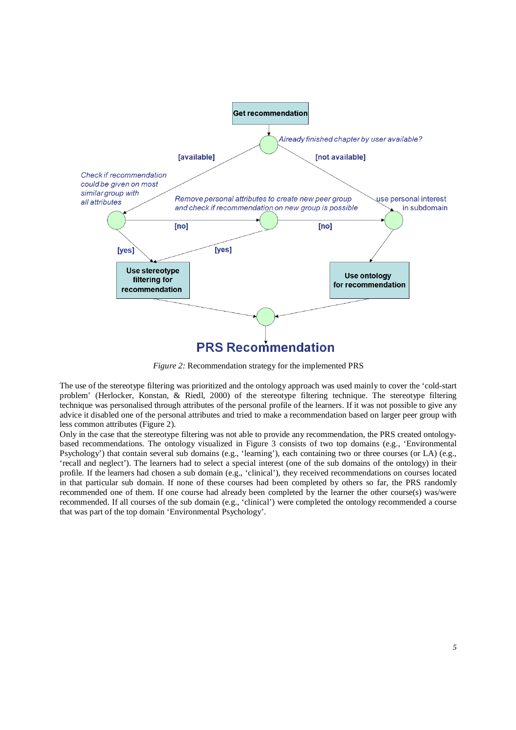

*Figure 2:* Recommendation strategy for the implemented PRS

The use of the stereotype filtering was prioritized and the ontology approach was used mainly to cover the 'cold-start problem' (Herlocker, Konstan, & Riedl, 2000) of the stereotype filtering technique. The stereotype filtering technique was personalised through attributes of the personal profile of the learners. If it was not possible to give any advice it disabled one of the personal attributes and tried to make a recommendation based on larger peer group with less common attributes (Figure 2).

Only in the case that the stereotype filtering was not able to provide any recommendation, the PRS created ontologybased recommendations. The ontology visualized in Figure 3 consists of two top domains (e.g., 'Environmental Psychology') that contain several sub domains (e.g., 'learning'), each containing two or three courses (or LA) (e.g., 'recall and neglect'). The learners had to select a special interest (one of the sub domains of the ontology) in their profile. If the learners had chosen a sub domain (e.g., 'clinical'), they received recommendations on courses located in that particular sub domain. If none of these courses had been completed by others so far, the PRS randomly recommended one of them. If one course had already been completed by the learner the other course(s) was/were recommended. If all courses of the sub domain (e.g., 'clinical') were completed the ontology recommended a course that was part of the top domain 'Environmental Psychology'.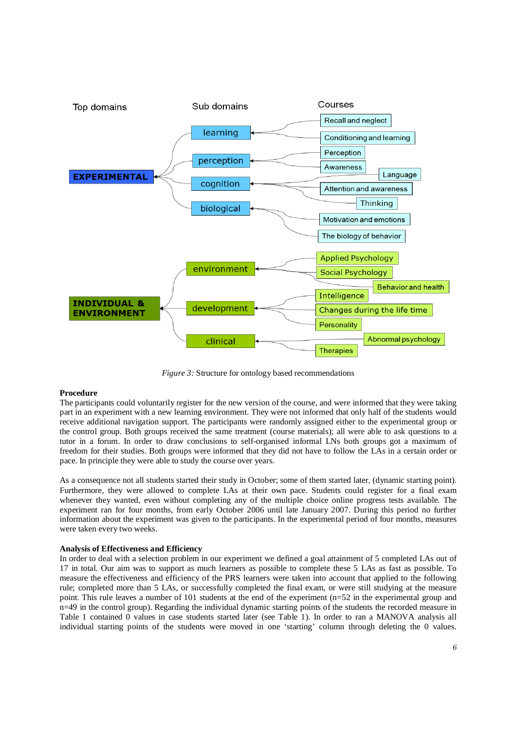

*Figure 3:* Structure for ontology based recommendations

## **Procedure**

The participants could voluntarily register for the new version of the course, and were informed that they were taking part in an experiment with a new learning environment. They were not informed that only half of the students would receive additional navigation support. The participants were randomly assigned either to the experimental group or the control group. Both groups received the same treatment (course materials); all were able to ask questions to a tutor in a forum. In order to draw conclusions to self-organised informal LNs both groups got a maximum of freedom for their studies. Both groups were informed that they did not have to follow the LAs in a certain order or pace. In principle they were able to study the course over years.

As a consequence not all students started their study in October; some of them started later, (dynamic starting point). Furthermore, they were allowed to complete LAs at their own pace. Students could register for a final exam whenever they wanted, even without completing any of the multiple choice online progress tests available. The experiment ran for four months, from early October 2006 until late January 2007. During this period no further information about the experiment was given to the participants. In the experimental period of four months, measures were taken every two weeks.

## **Analysis of Effectiveness and Efficiency**

In order to deal with a selection problem in our experiment we defined a goal attainment of 5 completed LAs out of 17 in total. Our aim was to support as much learners as possible to complete these 5 LAs as fast as possible. To measure the effectiveness and efficiency of the PRS learners were taken into account that applied to the following rule; completed more than 5 LAs, or successfully completed the final exam, or were still studying at the measure point. This rule leaves a number of 101 students at the end of the experiment (n=52 in the experimental group and n=49 in the control group). Regarding the individual dynamic starting points of the students the recorded measure in Table 1 contained 0 values in case students started later (see Table 1). In order to ran a MANOVA analysis all individual starting points of the students were moved in one 'starting' column through deleting the 0 values.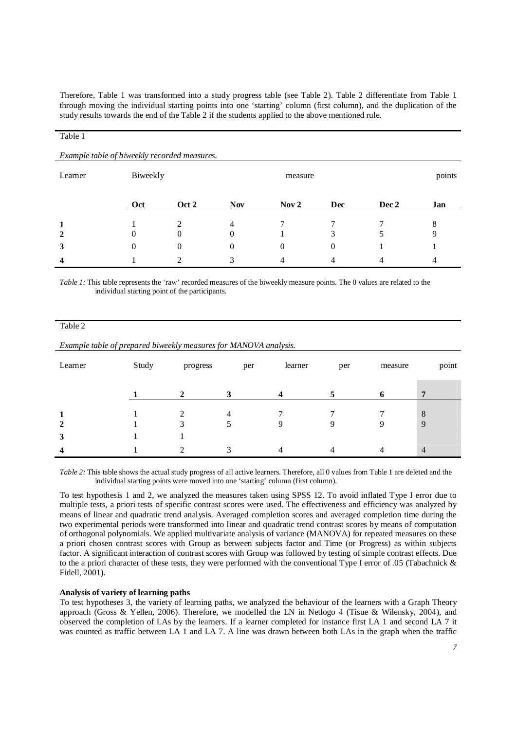Therefore, Table 1 was transformed into a study progress table (see Table 2). Table 2 differentiate from Table 1 through moving the individual starting points into one 'starting' column (first column), and the duplication of the study results towards the end of the Table 2 if the students applied to the above mentioned rule.

#### Table 1

|                         | Example table of biweekly recorded measures. |       |            |                  |     |       |     |  |
|-------------------------|----------------------------------------------|-------|------------|------------------|-----|-------|-----|--|
| Learner                 | Biweekly                                     |       |            | measure          |     |       |     |  |
|                         | Oct                                          | Oct 2 | <b>Nov</b> | Nov <sub>2</sub> | Dec | Dec 2 | Jan |  |
| 1                       |                                              | ∍     | 4          |                  |     |       | 8   |  |
| $\overline{2}$          | O                                            | 0     | 0          |                  |     |       | 9   |  |
| 3                       | O                                            | 0     | 0          | 0                | 0   |       |     |  |
| $\overline{\mathbf{4}}$ |                                              |       |            |                  |     |       |     |  |

*Table 1*: This table represents the 'raw' recorded measures of the biweekly measure points. The 0 values are related to the individual starting point of the participants.

| aг<br>۹<br>, |  |
|--------------|--|
|              |  |

|  |  | Example table of prepared biweekly measures for MANOVA analysis. |  |  |
|--|--|------------------------------------------------------------------|--|--|
|  |  |                                                                  |  |  |

| Learner                 | Study | progress | per | learner | per | measure | point          |
|-------------------------|-------|----------|-----|---------|-----|---------|----------------|
|                         |       | ◠        |     |         |     |         | 7              |
| $\mathbf{2}$            |       |          | 4   |         |     | Q       | 8<br>9         |
| $\mathbf{3}$            |       |          |     |         |     |         |                |
| $\overline{\mathbf{4}}$ |       | ◠        |     |         |     |         | $\overline{4}$ |

*Table 2:* This table shows the actual study progress of all active learners. Therefore, all 0 values from Table 1 are deleted and the individual starting points were moved into one 'starting' column (first column).

To test hypothesis 1 and 2, we analyzed the measures taken using SPSS 12. To avoid inflated Type I error due to multiple tests, a priori tests of specific contrast scores were used. The effectiveness and efficiency was analyzed by means of linear and quadratic trend analysis. Averaged completion scores and averaged completion time during the two experimental periods were transformed into linear and quadratic trend contrast scores by means of computation of orthogonal polynomials. We applied multivariate analysis of variance (MANOVA) for repeated measures on these a priori chosen contrast scores with Group as between subjects factor and Time (or Progress) as within subjects factor. A significant interaction of contrast scores with Group was followed by testing of simple contrast effects. Due to the a priori character of these tests, they were performed with the conventional Type I error of .05 (Tabachnick & Fidell, 2001).

## **Analysis of variety of learning paths**

To test hypotheses 3, the variety of learning paths, we analyzed the behaviour of the learners with a Graph Theory approach (Gross & Yellen, 2006). Therefore, we modelled the LN in Netlogo 4 (Tisue & Wilensky, 2004), and observed the completion of LAs by the learners. If a learner completed for instance first LA 1 and second LA 7 it was counted as traffic between LA 1 and LA 7. A line was drawn between both LAs in the graph when the traffic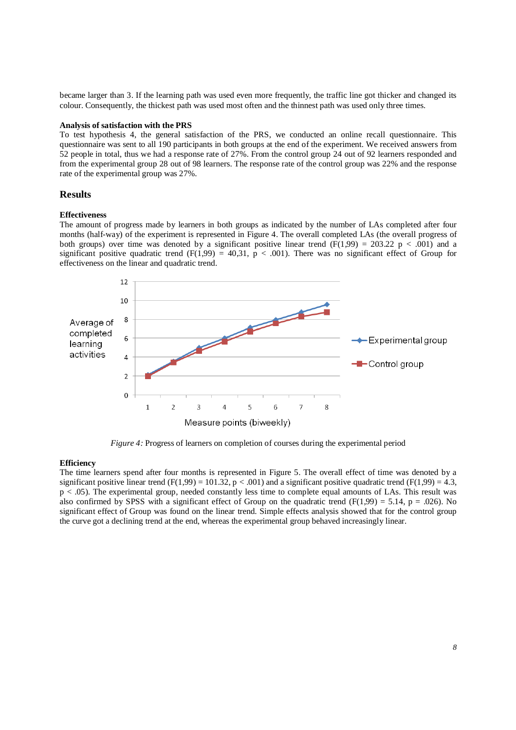became larger than 3. If the learning path was used even more frequently, the traffic line got thicker and changed its colour. Consequently, the thickest path was used most often and the thinnest path was used only three times.

# **Analysis of satisfaction with the PRS**

To test hypothesis 4, the general satisfaction of the PRS, we conducted an online recall questionnaire. This questionnaire was sent to all 190 participants in both groups at the end of the experiment. We received answers from 52 people in total, thus we had a response rate of 27%. From the control group 24 out of 92 learners responded and from the experimental group 28 out of 98 learners. The response rate of the control group was 22% and the response rate of the experimental group was 27%.

## **Results**

### **Effectiveness**

The amount of progress made by learners in both groups as indicated by the number of LAs completed after four months (half-way) of the experiment is represented in Figure 4. The overall completed LAs (the overall progress of both groups) over time was denoted by a significant positive linear trend  $(F(1,99) = 203.22 \text{ p} < .001)$  and a significant positive quadratic trend (F(1,99) = 40,31, p < .001). There was no significant effect of Group for effectiveness on the linear and quadratic trend.



*Figure 4:* Progress of learners on completion of courses during the experimental period

#### **Efficiency**

The time learners spend after four months is represented in Figure 5. The overall effect of time was denoted by a significant positive linear trend (F(1,99) = 101.32,  $p < .001$ ) and a significant positive quadratic trend (F(1,99) = 4.3, p < .05). The experimental group, needed constantly less time to complete equal amounts of LAs. This result was also confirmed by SPSS with a significant effect of Group on the quadratic trend (F(1,99) = 5.14, p = .026). No significant effect of Group was found on the linear trend. Simple effects analysis showed that for the control group the curve got a declining trend at the end, whereas the experimental group behaved increasingly linear.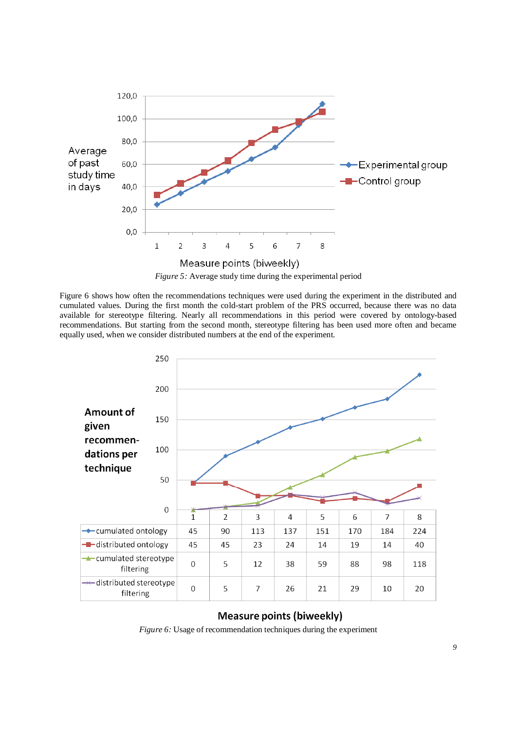

Figure 6 shows how often the recommendations techniques were used during the experiment in the distributed and cumulated values. During the first month the cold-start problem of the PRS occurred, because there was no data available for stereotype filtering. Nearly all recommendations in this period were covered by ontology-based recommendations. But starting from the second month, stereotype filtering has been used more often and became equally used, when we consider distributed numbers at the end of the experiment.



# **Measure points (biweekly)**

*Figure 6:* Usage of recommendation techniques during the experiment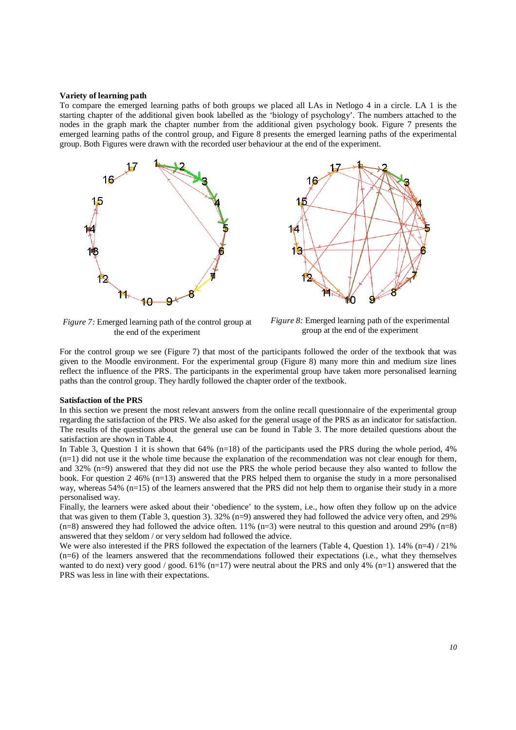#### **Variety of learning path**

To compare the emerged learning paths of both groups we placed all LAs in Netlogo 4 in a circle. LA 1 is the starting chapter of the additional given book labelled as the 'biology of psychology'. The numbers attached to the nodes in the graph mark the chapter number from the additional given psychology book. Figure 7 presents the emerged learning paths of the control group, and Figure 8 presents the emerged learning paths of the experimental group. Both Figures were drawn with the recorded user behaviour at the end of the experiment.



*Figure 7:* Emerged learning path of the control group at the end of the experiment



*Figure 8:* Emerged learning path of the experimental group at the end of the experiment

For the control group we see (Figure 7) that most of the participants followed the order of the textbook that was given to the Moodle environment. For the experimental group (Figure 8) many more thin and medium size lines reflect the influence of the PRS. The participants in the experimental group have taken more personalised learning paths than the control group. They hardly followed the chapter order of the textbook.

## **Satisfaction of the PRS**

In this section we present the most relevant answers from the online recall questionnaire of the experimental group regarding the satisfaction of the PRS. We also asked for the general usage of the PRS as an indicator for satisfaction. The results of the questions about the general use can be found in Table 3. The more detailed questions about the satisfaction are shown in Table 4.

In Table 3, Question 1 it is shown that 64% (n=18) of the participants used the PRS during the whole period, 4%  $(n=1)$  did not use it the whole time because the explanation of the recommendation was not clear enough for them, and 32% (n=9) answered that they did not use the PRS the whole period because they also wanted to follow the book. For question 2 46% (n=13) answered that the PRS helped them to organise the study in a more personalised way, whereas 54% (n=15) of the learners answered that the PRS did not help them to organise their study in a more personalised way.

Finally, the learners were asked about their 'obedience' to the system, i.e., how often they follow up on the advice that was given to them (Table 3, question 3). 32% (n=9) answered they had followed the advice very often, and 29%  $(n=8)$  answered they had followed the advice often. 11%  $(n=3)$  were neutral to this question and around 29%  $(n=8)$ answered that they seldom / or very seldom had followed the advice.

We were also interested if the PRS followed the expectation of the learners (Table 4, Question 1). 14% (n=4) / 21% (n=6) of the learners answered that the recommendations followed their expectations (i.e., what they themselves wanted to do next) very good / good. 61% (n=17) were neutral about the PRS and only 4% (n=1) answered that the PRS was less in line with their expectations.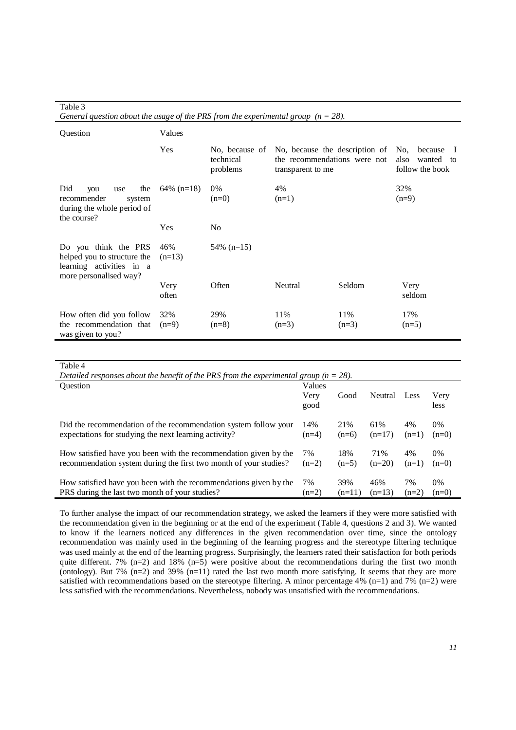| avic J<br>General question about the usage of the PRS from the experimental group $(n = 28)$ .            |                 |                                         |                                                                                     |                |                                                           |  |  |
|-----------------------------------------------------------------------------------------------------------|-----------------|-----------------------------------------|-------------------------------------------------------------------------------------|----------------|-----------------------------------------------------------|--|--|
| Question                                                                                                  | Values          |                                         |                                                                                     |                |                                                           |  |  |
|                                                                                                           | Yes             | No, because of<br>technical<br>problems | No, because the description of<br>the recommendations were not<br>transparent to me |                | because<br>No.<br>also<br>wanted<br>to<br>follow the book |  |  |
| Did<br>the<br>you<br>use<br>recommender<br>system<br>during the whole period of<br>the course?            | $64\%$ (n=18)   | $0\%$<br>$(n=0)$                        | 4%<br>$(n=1)$                                                                       |                | 32%<br>$(n=9)$                                            |  |  |
|                                                                                                           | Yes             | No                                      |                                                                                     |                |                                                           |  |  |
| Do you think the PRS<br>helped you to structure the<br>learning activities in a<br>more personalised way? | 46%<br>$(n=13)$ | $54\%$ (n=15)                           |                                                                                     |                |                                                           |  |  |
|                                                                                                           | Very<br>often   | Often                                   | Neutral                                                                             | Seldom         | Very<br>seldom                                            |  |  |
| How often did you follow<br>the recommendation that<br>was given to you?                                  | 32%<br>$(n=9)$  | 29%<br>$(n=8)$                          | 11%<br>$(n=3)$                                                                      | 11%<br>$(n=3)$ | 17%<br>$(n=5)$                                            |  |  |

# Table 3

| Table 4                                                                                                                               |                |                 |                 |               |               |  |  |  |  |
|---------------------------------------------------------------------------------------------------------------------------------------|----------------|-----------------|-----------------|---------------|---------------|--|--|--|--|
| Detailed responses about the benefit of the PRS from the experimental group ( $n = 28$ ).                                             |                |                 |                 |               |               |  |  |  |  |
| <b>Ouestion</b>                                                                                                                       | Values         |                 |                 |               |               |  |  |  |  |
|                                                                                                                                       | Very<br>good   | Good            | Neutral         | Less          | Very<br>less  |  |  |  |  |
| Did the recommendation of the recommendation system follow your<br>expectations for studying the next learning activity?              | 14%<br>$(n=4)$ | 21%<br>$(n=6)$  | 61%<br>$(n=17)$ | 4%<br>$(n=1)$ | 0%<br>$(n=0)$ |  |  |  |  |
| How satisfied have you been with the recommendation given by the<br>recommendation system during the first two month of your studies? | 7%<br>$(n=2)$  | 18%<br>$(n=5)$  | 71%<br>$(n=20)$ | 4%<br>$(n=1)$ | 0%<br>$(n=0)$ |  |  |  |  |
| How satisfied have you been with the recommendations given by the<br>PRS during the last two month of your studies?                   | 7%<br>$(n=2)$  | 39%<br>$(n=11)$ | 46%<br>$(n=13)$ | 7%<br>$(n=2)$ | 0%<br>$(n=0)$ |  |  |  |  |

To further analyse the impact of our recommendation strategy, we asked the learners if they were more satisfied with the recommendation given in the beginning or at the end of the experiment (Table 4, questions 2 and 3). We wanted to know if the learners noticed any differences in the given recommendation over time, since the ontology recommendation was mainly used in the beginning of the learning progress and the stereotype filtering technique was used mainly at the end of the learning progress. Surprisingly, the learners rated their satisfaction for both periods quite different. 7%  $(n=2)$  and 18%  $(n=5)$  were positive about the recommendations during the first two month (ontology). But 7% (n=2) and 39% (n=11) rated the last two month more satisfying. It seems that they are more satisfied with recommendations based on the stereotype filtering. A minor percentage 4% (n=1) and 7% (n=2) were less satisfied with the recommendations. Nevertheless, nobody was unsatisfied with the recommendations.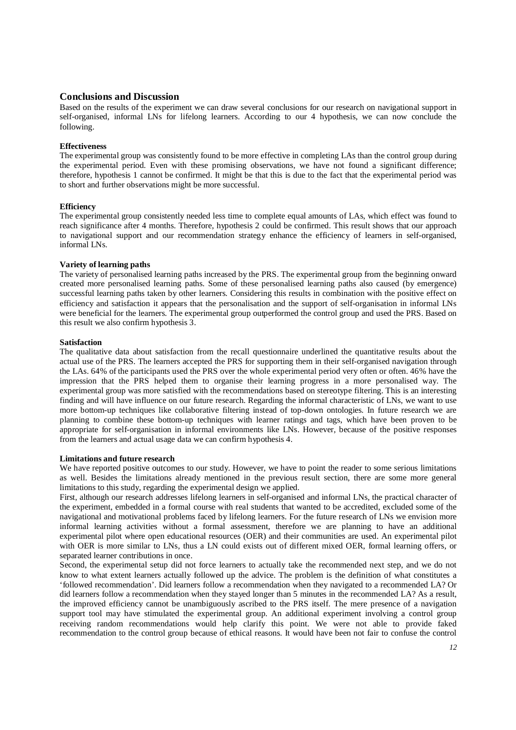## **Conclusions and Discussion**

Based on the results of the experiment we can draw several conclusions for our research on navigational support in self-organised, informal LNs for lifelong learners. According to our 4 hypothesis, we can now conclude the following.

### **Effectiveness**

The experimental group was consistently found to be more effective in completing LAs than the control group during the experimental period. Even with these promising observations, we have not found a significant difference; therefore, hypothesis 1 cannot be confirmed. It might be that this is due to the fact that the experimental period was to short and further observations might be more successful.

#### **Efficiency**

The experimental group consistently needed less time to complete equal amounts of LAs, which effect was found to reach significance after 4 months. Therefore, hypothesis 2 could be confirmed. This result shows that our approach to navigational support and our recommendation strategy enhance the efficiency of learners in self-organised, informal LNs.

#### **Variety of learning paths**

The variety of personalised learning paths increased by the PRS. The experimental group from the beginning onward created more personalised learning paths. Some of these personalised learning paths also caused (by emergence) successful learning paths taken by other learners. Considering this results in combination with the positive effect on efficiency and satisfaction it appears that the personalisation and the support of self-organisation in informal LNs were beneficial for the learners. The experimental group outperformed the control group and used the PRS. Based on this result we also confirm hypothesis 3.

#### **Satisfaction**

The qualitative data about satisfaction from the recall questionnaire underlined the quantitative results about the actual use of the PRS. The learners accepted the PRS for supporting them in their self-organised navigation through the LAs. 64% of the participants used the PRS over the whole experimental period very often or often. 46% have the impression that the PRS helped them to organise their learning progress in a more personalised way. The experimental group was more satisfied with the recommendations based on stereotype filtering. This is an interesting finding and will have influence on our future research. Regarding the informal characteristic of LNs, we want to use more bottom-up techniques like collaborative filtering instead of top-down ontologies. In future research we are planning to combine these bottom-up techniques with learner ratings and tags, which have been proven to be appropriate for self-organisation in informal environments like LNs. However, because of the positive responses from the learners and actual usage data we can confirm hypothesis 4.

#### **Limitations and future research**

We have reported positive outcomes to our study. However, we have to point the reader to some serious limitations as well. Besides the limitations already mentioned in the previous result section, there are some more general limitations to this study, regarding the experimental design we applied.

First, although our research addresses lifelong learners in self-organised and informal LNs, the practical character of the experiment, embedded in a formal course with real students that wanted to be accredited, excluded some of the navigational and motivational problems faced by lifelong learners. For the future research of LNs we envision more informal learning activities without a formal assessment, therefore we are planning to have an additional experimental pilot where open educational resources (OER) and their communities are used. An experimental pilot with OER is more similar to LNs, thus a LN could exists out of different mixed OER, formal learning offers, or separated learner contributions in once.

Second, the experimental setup did not force learners to actually take the recommended next step, and we do not know to what extent learners actually followed up the advice. The problem is the definition of what constitutes a 'followed recommendation'. Did learners follow a recommendation when they navigated to a recommended LA? Or did learners follow a recommendation when they stayed longer than 5 minutes in the recommended LA? As a result, the improved efficiency cannot be unambiguously ascribed to the PRS itself. The mere presence of a navigation support tool may have stimulated the experimental group. An additional experiment involving a control group receiving random recommendations would help clarify this point. We were not able to provide faked recommendation to the control group because of ethical reasons. It would have been not fair to confuse the control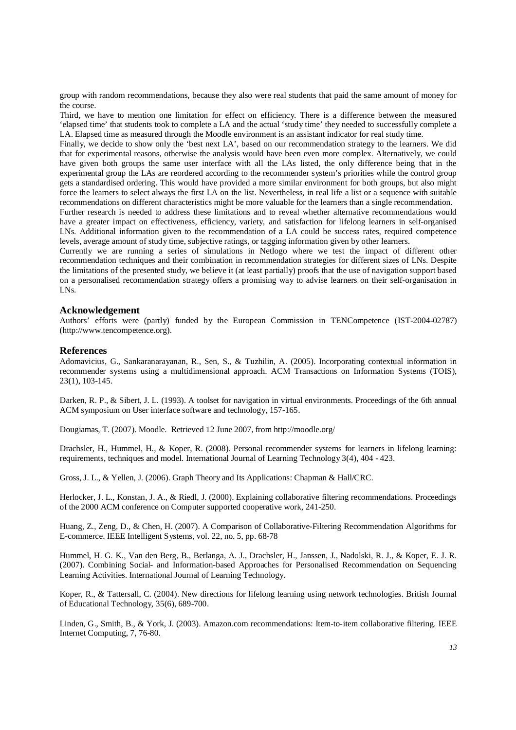group with random recommendations, because they also were real students that paid the same amount of money for the course.

Third, we have to mention one limitation for effect on efficiency. There is a difference between the measured 'elapsed time' that students took to complete a LA and the actual 'study time' they needed to successfully complete a LA. Elapsed time as measured through the Moodle environment is an assistant indicator for real study time.

Finally, we decide to show only the 'best next LA', based on our recommendation strategy to the learners. We did that for experimental reasons, otherwise the analysis would have been even more complex. Alternatively, we could have given both groups the same user interface with all the LAs listed, the only difference being that in the experimental group the LAs are reordered according to the recommender system's priorities while the control group gets a standardised ordering. This would have provided a more similar environment for both groups, but also might force the learners to select always the first LA on the list. Nevertheless, in real life a list or a sequence with suitable recommendations on different characteristics might be more valuable for the learners than a single recommendation.

Further research is needed to address these limitations and to reveal whether alternative recommendations would have a greater impact on effectiveness, efficiency, variety, and satisfaction for lifelong learners in self-organised LNs. Additional information given to the recommendation of a LA could be success rates, required competence levels, average amount of study time, subjective ratings, or tagging information given by other learners.

Currently we are running a series of simulations in Netlogo where we test the impact of different other recommendation techniques and their combination in recommendation strategies for different sizes of LNs. Despite the limitations of the presented study, we believe it (at least partially) proofs that the use of navigation support based on a personalised recommendation strategy offers a promising way to advise learners on their self-organisation in LNs.

## **Acknowledgement**

Authors' efforts were (partly) funded by the European Commission in TENCompetence (IST-2004-02787) (http://www.tencompetence.org).

#### **References**

Adomavicius, G., Sankaranarayanan, R., Sen, S., & Tuzhilin, A. (2005). Incorporating contextual information in recommender systems using a multidimensional approach. ACM Transactions on Information Systems (TOIS), 23(1), 103-145.

Darken, R. P., & Sibert, J. L. (1993). A toolset for navigation in virtual environments. Proceedings of the 6th annual ACM symposium on User interface software and technology, 157-165.

Dougiamas, T. (2007). Moodle. Retrieved 12 June 2007, from http://moodle.org/

Drachsler, H., Hummel, H., & Koper, R. (2008). Personal recommender systems for learners in lifelong learning: requirements, techniques and model. International Journal of Learning Technology 3(4), 404 - 423.

Gross, J. L., & Yellen, J. (2006). Graph Theory and Its Applications: Chapman & Hall/CRC.

Herlocker, J. L., Konstan, J. A., & Riedl, J. (2000). Explaining collaborative filtering recommendations. Proceedings of the 2000 ACM conference on Computer supported cooperative work, 241-250.

Huang, Z., Zeng, D., & Chen, H. (2007). A Comparison of Collaborative-Filtering Recommendation Algorithms for E-commerce. IEEE Intelligent Systems, vol. 22, no. 5, pp. 68-78

Hummel, H. G. K., Van den Berg, B., Berlanga, A. J., Drachsler, H., Janssen, J., Nadolski, R. J., & Koper, E. J. R. (2007). Combining Social- and Information-based Approaches for Personalised Recommendation on Sequencing Learning Activities. International Journal of Learning Technology.

Koper, R., & Tattersall, C. (2004). New directions for lifelong learning using network technologies. British Journal of Educational Technology, 35(6), 689-700.

Linden, G., Smith, B., & York, J. (2003). Amazon.com recommendations: Item-to-item collaborative filtering. IEEE Internet Computing, 7, 76-80.